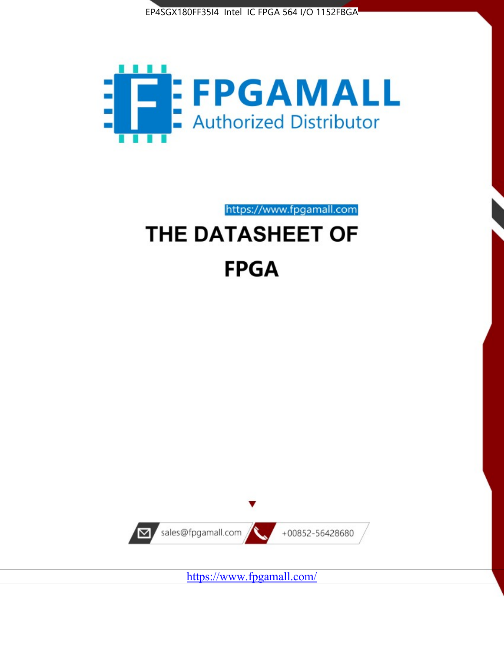



https://www.fpgamall.com

# THE DATASHEET OF **FPGA**



<https://www.fpgamall.com/>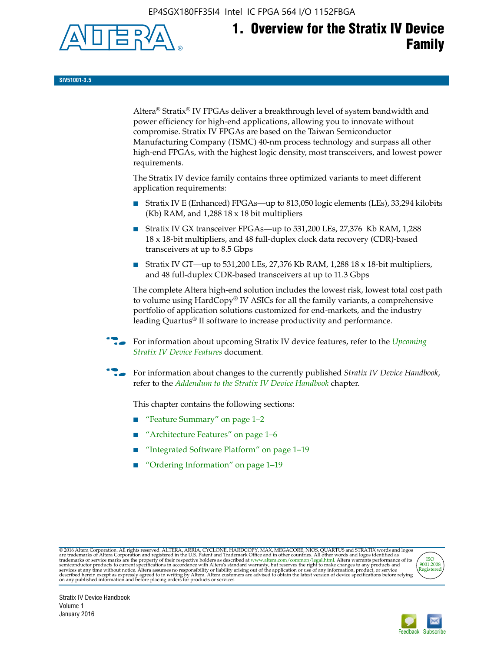EP4SGX180FF35I4 Intel IC FPGA 564 I/O 1152FBGA



# **1. Overview for the Stratix IV Device Family**

**SIV51001-3.5**

Altera® Stratix® IV FPGAs deliver a breakthrough level of system bandwidth and power efficiency for high-end applications, allowing you to innovate without compromise. Stratix IV FPGAs are based on the Taiwan Semiconductor Manufacturing Company (TSMC) 40-nm process technology and surpass all other high-end FPGAs, with the highest logic density, most transceivers, and lowest power requirements.

The Stratix IV device family contains three optimized variants to meet different application requirements:

- Stratix IV E (Enhanced) FPGAs—up to 813,050 logic elements (LEs), 33,294 kilobits (Kb) RAM, and 1,288 18 x 18 bit multipliers
- Stratix IV GX transceiver FPGAs—up to 531,200 LEs, 27,376 Kb RAM, 1,288 18 x 18-bit multipliers, and 48 full-duplex clock data recovery (CDR)-based transceivers at up to 8.5 Gbps
- Stratix IV GT—up to 531,200 LEs, 27,376 Kb RAM, 1,288 18 x 18-bit multipliers, and 48 full-duplex CDR-based transceivers at up to 11.3 Gbps

The complete Altera high-end solution includes the lowest risk, lowest total cost path to volume using HardCopy® IV ASICs for all the family variants, a comprehensive portfolio of application solutions customized for end-markets, and the industry leading Quartus® II software to increase productivity and performance.

f For information about upcoming Stratix IV device features, refer to the *[Upcoming](http://www.altera.com/literature/hb/stratix-iv/uf01001.pdf?GSA_pos=2&WT.oss_r=1&WT.oss=upcoming)  [Stratix IV Device Features](http://www.altera.com/literature/hb/stratix-iv/uf01001.pdf?GSA_pos=2&WT.oss_r=1&WT.oss=upcoming)* document.

f For information about changes to the currently published *Stratix IV Device Handbook*, refer to the *[Addendum to the Stratix IV Device Handbook](http://www.altera.com/literature/hb/stratix-iv/stx4_siv54002.pdf)* chapter.

This chapter contains the following sections:

- "Feature Summary" on page 1–2
- "Architecture Features" on page 1–6
- "Integrated Software Platform" on page 1–19
- "Ordering Information" on page 1–19

@2016 Altera Corporation. All rights reserved. ALTERA, ARRIA, CYCLONE, HARDCOPY, MAX, MEGACORE, NIOS, QUARTUS and STRATIX words and logos are trademarks of Altera Corporation and registered in the U.S. Patent and Trademark



Stratix IV Device Handbook Volume 1 January 2016

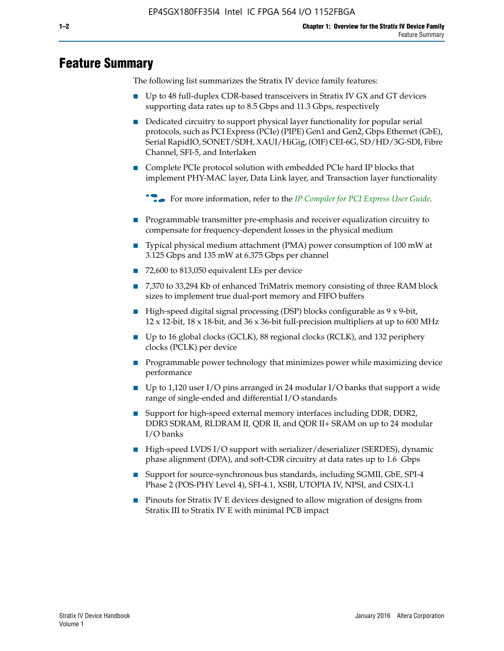# **Feature Summary**

The following list summarizes the Stratix IV device family features:

- Up to 48 full-duplex CDR-based transceivers in Stratix IV GX and GT devices supporting data rates up to 8.5 Gbps and 11.3 Gbps, respectively
- Dedicated circuitry to support physical layer functionality for popular serial protocols, such as PCI Express (PCIe) (PIPE) Gen1 and Gen2, Gbps Ethernet (GbE), Serial RapidIO, SONET/SDH, XAUI/HiGig, (OIF) CEI-6G, SD/HD/3G-SDI, Fibre Channel, SFI-5, and Interlaken
- Complete PCIe protocol solution with embedded PCIe hard IP blocks that implement PHY-MAC layer, Data Link layer, and Transaction layer functionality

**For more information, refer to the** *[IP Compiler for PCI Express User Guide](http://www.altera.com/literature/ug/ug_pci_express.pdf)***.** 

- Programmable transmitter pre-emphasis and receiver equalization circuitry to compensate for frequency-dependent losses in the physical medium
- Typical physical medium attachment (PMA) power consumption of 100 mW at 3.125 Gbps and 135 mW at 6.375 Gbps per channel
- 72,600 to 813,050 equivalent LEs per device
- 7,370 to 33,294 Kb of enhanced TriMatrix memory consisting of three RAM block sizes to implement true dual-port memory and FIFO buffers
- High-speed digital signal processing (DSP) blocks configurable as 9 x 9-bit,  $12 \times 12$ -bit,  $18 \times 18$ -bit, and  $36 \times 36$ -bit full-precision multipliers at up to 600 MHz
- Up to 16 global clocks (GCLK), 88 regional clocks (RCLK), and 132 periphery clocks (PCLK) per device
- Programmable power technology that minimizes power while maximizing device performance
- Up to 1,120 user I/O pins arranged in 24 modular I/O banks that support a wide range of single-ended and differential I/O standards
- Support for high-speed external memory interfaces including DDR, DDR2, DDR3 SDRAM, RLDRAM II, QDR II, and QDR II+ SRAM on up to 24 modular I/O banks
- High-speed LVDS I/O support with serializer/deserializer (SERDES), dynamic phase alignment (DPA), and soft-CDR circuitry at data rates up to 1.6 Gbps
- Support for source-synchronous bus standards, including SGMII, GbE, SPI-4 Phase 2 (POS-PHY Level 4), SFI-4.1, XSBI, UTOPIA IV, NPSI, and CSIX-L1
- Pinouts for Stratix IV E devices designed to allow migration of designs from Stratix III to Stratix IV E with minimal PCB impact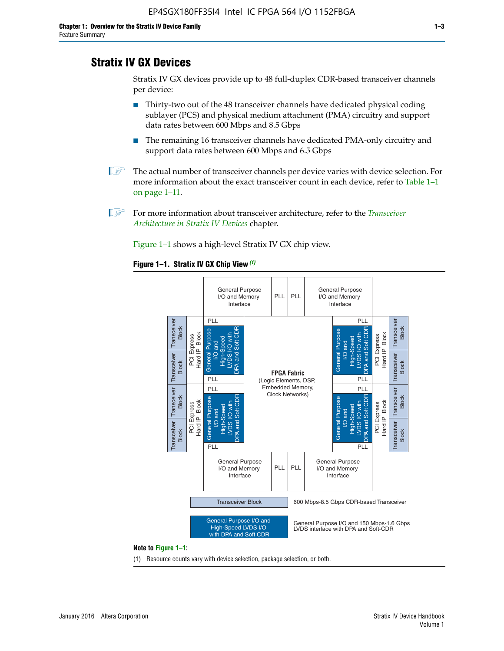# **Stratix IV GX Devices**

Stratix IV GX devices provide up to 48 full-duplex CDR-based transceiver channels per device:

- Thirty-two out of the 48 transceiver channels have dedicated physical coding sublayer (PCS) and physical medium attachment (PMA) circuitry and support data rates between 600 Mbps and 8.5 Gbps
- The remaining 16 transceiver channels have dedicated PMA-only circuitry and support data rates between 600 Mbps and 6.5 Gbps
- **1 The actual number of transceiver channels per device varies with device selection. For** more information about the exact transceiver count in each device, refer to Table 1–1 on page 1–11.
- 1 For more information about transceiver architecture, refer to the *[Transceiver](http://www.altera.com/literature/hb/stratix-iv/stx4_siv52001.pdf)  [Architecture in Stratix IV Devices](http://www.altera.com/literature/hb/stratix-iv/stx4_siv52001.pdf)* chapter.

Figure 1–1 shows a high-level Stratix IV GX chip view.

#### **Figure 1–1. Stratix IV GX Chip View** *(1)*



#### **Note to Figure 1–1:**

(1) Resource counts vary with device selection, package selection, or both.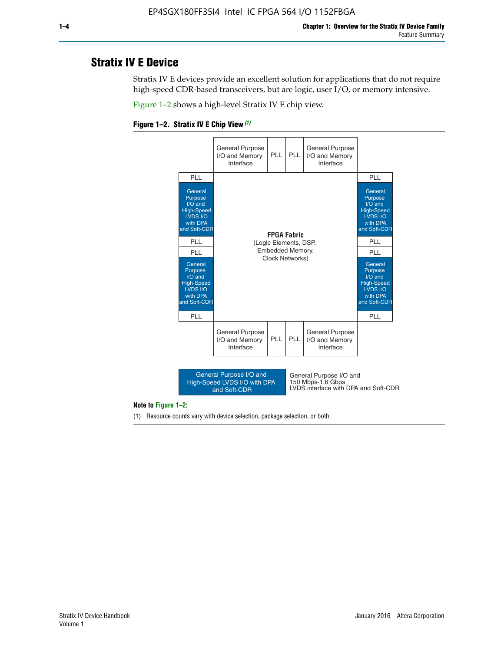# **Stratix IV E Device**

Stratix IV E devices provide an excellent solution for applications that do not require high-speed CDR-based transceivers, but are logic, user I/O, or memory intensive.

Figure 1–2 shows a high-level Stratix IV E chip view.





#### **Note to Figure 1–2:**

(1) Resource counts vary with device selection, package selection, or both.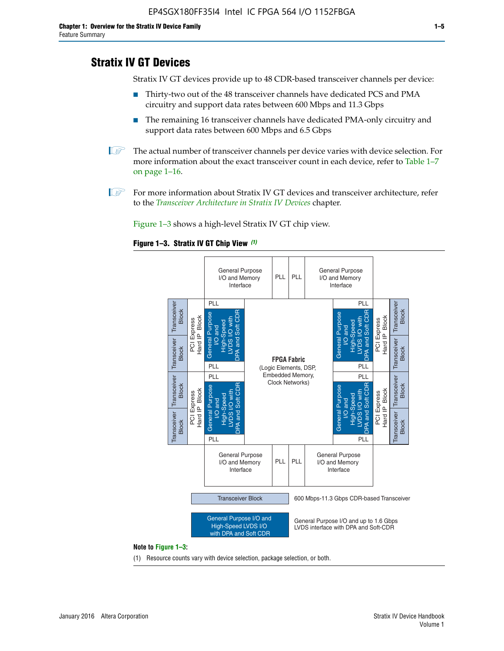# **Stratix IV GT Devices**

Stratix IV GT devices provide up to 48 CDR-based transceiver channels per device:

- Thirty-two out of the 48 transceiver channels have dedicated PCS and PMA circuitry and support data rates between 600 Mbps and 11.3 Gbps
- The remaining 16 transceiver channels have dedicated PMA-only circuitry and support data rates between 600 Mbps and 6.5 Gbps
- **1** The actual number of transceiver channels per device varies with device selection. For more information about the exact transceiver count in each device, refer to Table 1–7 on page 1–16.
- $\mathbb{I}$  For more information about Stratix IV GT devices and transceiver architecture, refer to the *[Transceiver Architecture in Stratix IV Devices](http://www.altera.com/literature/hb/stratix-iv/stx4_siv52001.pdf)* chapter.

Figure 1–3 shows a high-level Stratix IV GT chip view.

#### **Figure 1–3. Stratix IV GT Chip View** *(1)*



(1) Resource counts vary with device selection, package selection, or both.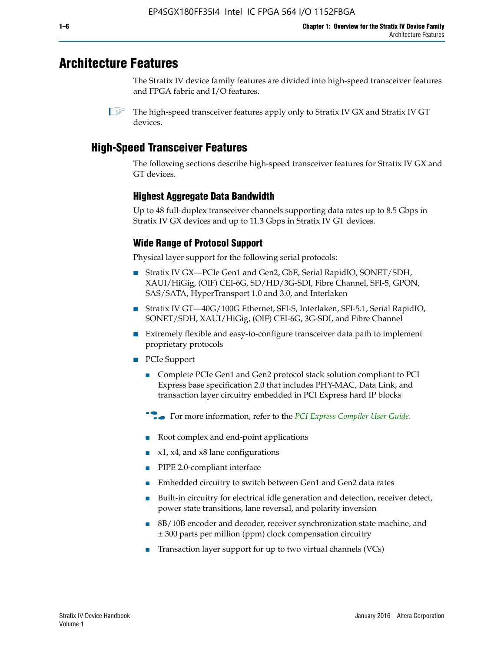# **Architecture Features**

The Stratix IV device family features are divided into high-speed transceiver features and FPGA fabric and I/O features.

 $\mathbb{I}$  The high-speed transceiver features apply only to Stratix IV GX and Stratix IV GT devices.

# **High-Speed Transceiver Features**

The following sections describe high-speed transceiver features for Stratix IV GX and GT devices.

### **Highest Aggregate Data Bandwidth**

Up to 48 full-duplex transceiver channels supporting data rates up to 8.5 Gbps in Stratix IV GX devices and up to 11.3 Gbps in Stratix IV GT devices.

# **Wide Range of Protocol Support**

Physical layer support for the following serial protocols:

- Stratix IV GX—PCIe Gen1 and Gen2, GbE, Serial RapidIO, SONET/SDH, XAUI/HiGig, (OIF) CEI-6G, SD/HD/3G-SDI, Fibre Channel, SFI-5, GPON, SAS/SATA, HyperTransport 1.0 and 3.0, and Interlaken
- Stratix IV GT—40G/100G Ethernet, SFI-S, Interlaken, SFI-5.1, Serial RapidIO, SONET/SDH, XAUI/HiGig, (OIF) CEI-6G, 3G-SDI, and Fibre Channel
- Extremely flexible and easy-to-configure transceiver data path to implement proprietary protocols
- PCIe Support
	- Complete PCIe Gen1 and Gen2 protocol stack solution compliant to PCI Express base specification 2.0 that includes PHY-MAC, Data Link, and transaction layer circuitry embedded in PCI Express hard IP blocks
	- **For more information, refer to the [PCI Express Compiler User Guide](http://www.altera.com/literature/ug/ug_pci_express.pdf).**
	- Root complex and end-point applications
	- $x1, x4,$  and  $x8$  lane configurations
	- PIPE 2.0-compliant interface
	- Embedded circuitry to switch between Gen1 and Gen2 data rates
	- Built-in circuitry for electrical idle generation and detection, receiver detect, power state transitions, lane reversal, and polarity inversion
	- 8B/10B encoder and decoder, receiver synchronization state machine, and ± 300 parts per million (ppm) clock compensation circuitry
	- Transaction layer support for up to two virtual channels (VCs)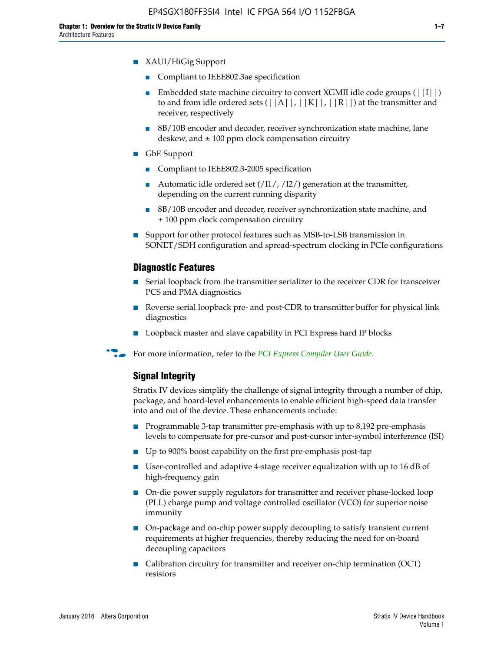- XAUI/HiGig Support
	- Compliant to IEEE802.3ae specification
	- **■** Embedded state machine circuitry to convert XGMII idle code groups  $(|11|)$ to and from idle ordered sets  $(|A|, |K|, |R|)$  at the transmitter and receiver, respectively
	- 8B/10B encoder and decoder, receiver synchronization state machine, lane deskew, and  $\pm$  100 ppm clock compensation circuitry
- GbE Support
	- Compliant to IEEE802.3-2005 specification
	- Automatic idle ordered set  $(111/112/1)$  generation at the transmitter, depending on the current running disparity
	- 8B/10B encoder and decoder, receiver synchronization state machine, and ± 100 ppm clock compensation circuitry
- Support for other protocol features such as MSB-to-LSB transmission in SONET/SDH configuration and spread-spectrum clocking in PCIe configurations

#### **Diagnostic Features**

- Serial loopback from the transmitter serializer to the receiver CDR for transceiver PCS and PMA diagnostics
- Reverse serial loopback pre- and post-CDR to transmitter buffer for physical link diagnostics
- Loopback master and slave capability in PCI Express hard IP blocks
- **For more information, refer to the** *[PCI Express Compiler User Guide](http://www.altera.com/literature/ug/ug_pci_express.pdf)***.**

### **Signal Integrity**

Stratix IV devices simplify the challenge of signal integrity through a number of chip, package, and board-level enhancements to enable efficient high-speed data transfer into and out of the device. These enhancements include:

- Programmable 3-tap transmitter pre-emphasis with up to 8,192 pre-emphasis levels to compensate for pre-cursor and post-cursor inter-symbol interference (ISI)
- Up to 900% boost capability on the first pre-emphasis post-tap
- User-controlled and adaptive 4-stage receiver equalization with up to 16 dB of high-frequency gain
- On-die power supply regulators for transmitter and receiver phase-locked loop (PLL) charge pump and voltage controlled oscillator (VCO) for superior noise immunity
- On-package and on-chip power supply decoupling to satisfy transient current requirements at higher frequencies, thereby reducing the need for on-board decoupling capacitors
- Calibration circuitry for transmitter and receiver on-chip termination (OCT) resistors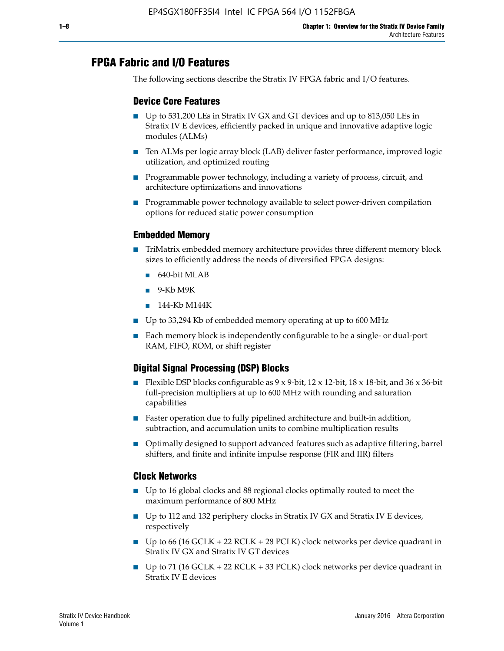# **FPGA Fabric and I/O Features**

The following sections describe the Stratix IV FPGA fabric and I/O features.

### **Device Core Features**

- Up to 531,200 LEs in Stratix IV GX and GT devices and up to 813,050 LEs in Stratix IV E devices, efficiently packed in unique and innovative adaptive logic modules (ALMs)
- Ten ALMs per logic array block (LAB) deliver faster performance, improved logic utilization, and optimized routing
- Programmable power technology, including a variety of process, circuit, and architecture optimizations and innovations
- Programmable power technology available to select power-driven compilation options for reduced static power consumption

#### **Embedded Memory**

- TriMatrix embedded memory architecture provides three different memory block sizes to efficiently address the needs of diversified FPGA designs:
	- 640-bit MLAB
	- 9-Kb M9K
	- 144-Kb M144K
- Up to 33,294 Kb of embedded memory operating at up to 600 MHz
- Each memory block is independently configurable to be a single- or dual-port RAM, FIFO, ROM, or shift register

# **Digital Signal Processing (DSP) Blocks**

- Flexible DSP blocks configurable as  $9 \times 9$ -bit,  $12 \times 12$ -bit,  $18 \times 18$ -bit, and  $36 \times 36$ -bit full-precision multipliers at up to 600 MHz with rounding and saturation capabilities
- Faster operation due to fully pipelined architecture and built-in addition, subtraction, and accumulation units to combine multiplication results
- Optimally designed to support advanced features such as adaptive filtering, barrel shifters, and finite and infinite impulse response (FIR and IIR) filters

#### **Clock Networks**

- Up to 16 global clocks and 88 regional clocks optimally routed to meet the maximum performance of 800 MHz
- Up to 112 and 132 periphery clocks in Stratix IV GX and Stratix IV E devices, respectively
- Up to 66 (16 GCLK + 22 RCLK + 28 PCLK) clock networks per device quadrant in Stratix IV GX and Stratix IV GT devices
- Up to 71 (16 GCLK + 22 RCLK + 33 PCLK) clock networks per device quadrant in Stratix IV E devices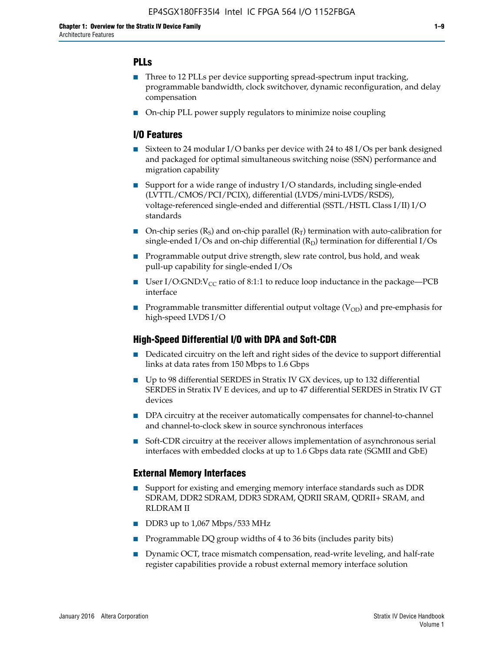# **PLLs**

- Three to 12 PLLs per device supporting spread-spectrum input tracking, programmable bandwidth, clock switchover, dynamic reconfiguration, and delay compensation
- On-chip PLL power supply regulators to minimize noise coupling

#### **I/O Features**

- Sixteen to 24 modular I/O banks per device with 24 to 48 I/Os per bank designed and packaged for optimal simultaneous switching noise (SSN) performance and migration capability
- Support for a wide range of industry I/O standards, including single-ended (LVTTL/CMOS/PCI/PCIX), differential (LVDS/mini-LVDS/RSDS), voltage-referenced single-ended and differential (SSTL/HSTL Class I/II) I/O standards
- **O**n-chip series  $(R_S)$  and on-chip parallel  $(R_T)$  termination with auto-calibration for single-ended I/Os and on-chip differential  $(R_D)$  termination for differential I/Os
- Programmable output drive strength, slew rate control, bus hold, and weak pull-up capability for single-ended I/Os
- User I/O:GND: $V_{CC}$  ratio of 8:1:1 to reduce loop inductance in the package—PCB interface
- **■** Programmable transmitter differential output voltage ( $V_{OD}$ ) and pre-emphasis for high-speed LVDS I/O

#### **High-Speed Differential I/O with DPA and Soft-CDR**

- Dedicated circuitry on the left and right sides of the device to support differential links at data rates from 150 Mbps to 1.6 Gbps
- Up to 98 differential SERDES in Stratix IV GX devices, up to 132 differential SERDES in Stratix IV E devices, and up to 47 differential SERDES in Stratix IV GT devices
- DPA circuitry at the receiver automatically compensates for channel-to-channel and channel-to-clock skew in source synchronous interfaces
- Soft-CDR circuitry at the receiver allows implementation of asynchronous serial interfaces with embedded clocks at up to 1.6 Gbps data rate (SGMII and GbE)

#### **External Memory Interfaces**

- Support for existing and emerging memory interface standards such as DDR SDRAM, DDR2 SDRAM, DDR3 SDRAM, QDRII SRAM, QDRII+ SRAM, and RLDRAM II
- DDR3 up to 1,067 Mbps/533 MHz
- Programmable DQ group widths of 4 to 36 bits (includes parity bits)
- Dynamic OCT, trace mismatch compensation, read-write leveling, and half-rate register capabilities provide a robust external memory interface solution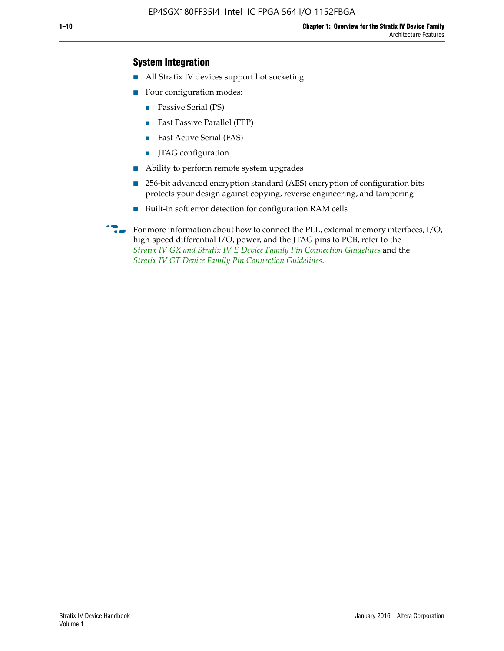### **System Integration**

- All Stratix IV devices support hot socketing
- Four configuration modes:
	- Passive Serial (PS)
	- Fast Passive Parallel (FPP)
	- Fast Active Serial (FAS)
	- JTAG configuration
- Ability to perform remote system upgrades
- 256-bit advanced encryption standard (AES) encryption of configuration bits protects your design against copying, reverse engineering, and tampering
- Built-in soft error detection for configuration RAM cells
- For more information about how to connect the PLL, external memory interfaces,  $I/O$ , high-speed differential I/O, power, and the JTAG pins to PCB, refer to the *[Stratix IV GX and Stratix IV E Device Family Pin Connection Guidelines](http://www.altera.com/literature/dp/stratix4/PCG-01005.pdf)* and the *[Stratix IV GT Device Family Pin Connection Guidelines](http://www.altera.com/literature/dp/stratix4/PCG-01006.pdf)*.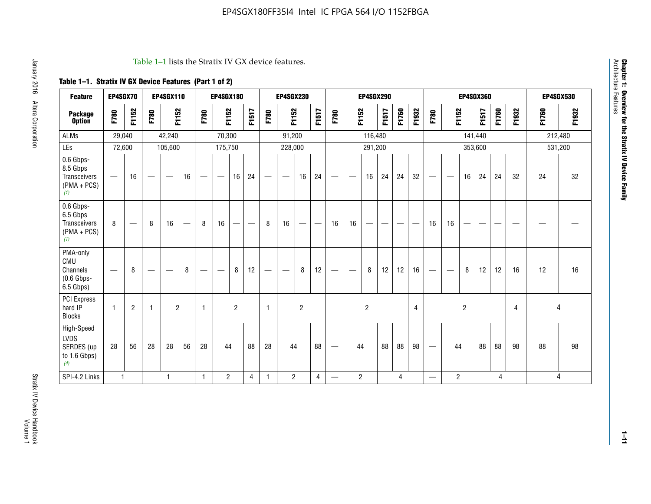#### Table 1–1 lists the Stratix IV GX device features.

# **Table 1–1. Stratix IV GX Device Features (Part 1 of 2)**

| <b>Feature</b>                                                 | EP4SGX70                 |                          |                                  | <b>EP4SGX110</b>  |                                 |                                | <b>EP4SGX180</b>                |                |       |                          | <b>EP4SGX230</b>         |                |                |                                  |                 | <b>EP4SGX290</b> |       |       |       |                                   |                               |                | <b>EP4SGX360</b> |       |       |         | <b>EP4SGX530</b> |
|----------------------------------------------------------------|--------------------------|--------------------------|----------------------------------|-------------------|---------------------------------|--------------------------------|---------------------------------|----------------|-------|--------------------------|--------------------------|----------------|----------------|----------------------------------|-----------------|------------------|-------|-------|-------|-----------------------------------|-------------------------------|----------------|------------------|-------|-------|---------|------------------|
| <b>Package</b><br><b>Option</b>                                | F780                     | F1152                    | F780                             | F1152             |                                 | F780                           | F1152                           |                | F1517 | F780                     | F1152                    |                | F1517          | F780                             | F1152           |                  | F1517 | F1760 | F1932 | F780                              | F1152                         |                | F1517            | F1760 | F1932 | F1760   | F1932            |
| <b>ALMs</b>                                                    | 29,040                   |                          |                                  | 42,240            |                                 |                                | 70,300                          |                |       |                          | 91,200                   |                |                |                                  |                 | 116,480          |       |       |       |                                   |                               |                | 141,440          |       |       | 212,480 |                  |
| LEs                                                            | 72,600                   |                          |                                  | 105,600           |                                 |                                | 175,750                         |                |       |                          | 228,000                  |                |                |                                  |                 | 291,200          |       |       |       |                                   |                               |                | 353,600          |       |       | 531,200 |                  |
| 0.6 Gbps-<br>8.5 Gbps<br>Transceivers<br>$(PMA + PCs)$<br>(1)  | $\overline{\phantom{0}}$ | 16                       | $\overbrace{\phantom{12322111}}$ | $\hspace{0.05cm}$ | 16                              | $\qquad \qquad \longleftarrow$ | $\hspace{0.1mm}-\hspace{0.1mm}$ | 16             | 24    |                          | $\overline{\phantom{m}}$ | 16             | 24             | $\hspace{0.1mm}-\hspace{0.1mm}$  | $\qquad \qquad$ | 16               | 24    | 24    | 32    | $\hspace{0.1mm}-\hspace{0.1mm}$   | $\overbrace{\phantom{aaaaa}}$ | 16             | 24               | 24    | 32    | 24      | 32               |
| 0.6 Gbps-<br>6.5 Gbps<br>Transceivers<br>$(PMA + PCs)$<br>(1)  | 8                        | $\overline{\phantom{0}}$ | 8                                | 16                | $\hspace{0.1mm}-\hspace{0.1mm}$ | 8                              | 16                              | —              | —     | 8                        | 16                       | —              |                | 16                               | 16              |                  |       |       | --    | 16                                | 16                            | —              |                  | --    |       |         |                  |
| PMA-only<br>CMU<br>Channels<br>$(0.6$ Gbps-<br>6.5 Gbps)       |                          | 8                        |                                  | __                | 8                               |                                |                                 | 8              | 12    | $\overline{\phantom{m}}$ |                          | 8              | 12             | $\hspace{0.1mm}-\hspace{0.1mm}$  |                 | 8                | 12    | 12    | 16    | $\hspace{0.05cm}$                 |                               | 8              | 12               | 12    | 16    | 12      | 16               |
| <b>PCI Express</b><br>hard IP<br><b>Blocks</b>                 | 1                        | $\overline{2}$           | $\overline{1}$                   | $\overline{2}$    |                                 | $\overline{1}$                 |                                 | $\overline{2}$ |       | $\mathbf{1}$             |                          | $\overline{c}$ |                |                                  |                 | $\overline{c}$   |       |       | 4     |                                   |                               | $\overline{2}$ |                  |       | 4     | 4       |                  |
| High-Speed<br><b>LVDS</b><br>SERDES (up<br>to 1.6 Gbps)<br>(4) | 28                       | 56                       | 28                               | 28                | 56                              | 28                             | 44                              |                | 88    | 28                       | 44                       |                | 88             | $\overbrace{\phantom{12322111}}$ | 44              |                  | 88    | 88    | 98    | $\overline{\phantom{0}}$          | 44                            |                | 88               | 88    | 98    | 88      | 98               |
| SPI-4.2 Links                                                  | $\mathbf{1}$             |                          |                                  | 1                 |                                 | 1                              | $\overline{c}$                  |                | 4     | 1                        | $\overline{2}$           |                | $\overline{4}$ | —                                | $\overline{c}$  |                  |       | 4     |       | $\overbrace{\phantom{123221111}}$ | $\overline{2}$                |                |                  | 4     |       |         | 4                |

Architecture Features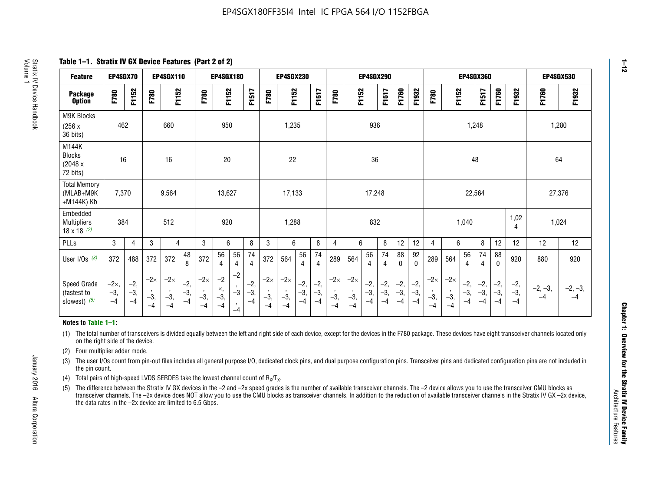**Table 1–1. Stratix IV GX Device Features (Part 2 of 2)**

| <b>Feature</b>                                       | EP4SGX70                |                        |                             | <b>EP4SGX110</b>            |                      |                             | <b>EP4SGX180</b>          |                                              |                        |                             | <b>EP4SGX230</b>            |                        |                      |                             |                             | EP4SGX290              |                      |                        |                        |                             |                             |                        | <b>EP4SGX360</b>     |                        |                        | <b>EP4SGX530</b>  |                   |
|------------------------------------------------------|-------------------------|------------------------|-----------------------------|-----------------------------|----------------------|-----------------------------|---------------------------|----------------------------------------------|------------------------|-----------------------------|-----------------------------|------------------------|----------------------|-----------------------------|-----------------------------|------------------------|----------------------|------------------------|------------------------|-----------------------------|-----------------------------|------------------------|----------------------|------------------------|------------------------|-------------------|-------------------|
| <b>Package</b><br><b>Option</b>                      | F780                    | F1152                  | F780                        | F1152                       |                      | F780                        | F1152                     |                                              | F1517                  | F780                        | F1152                       |                        | F1517                | F780                        | F1152                       |                        | F1517                | F1760                  | F1932                  | F780                        | F1152                       |                        | F1517                | F1760                  | F1932                  | F1760             | F1932             |
| M9K Blocks<br>(256x)<br>36 bits)                     | 462                     |                        |                             | 660                         |                      |                             | 950                       |                                              |                        |                             | 1,235                       |                        |                      |                             |                             | 936                    |                      |                        |                        |                             |                             | 1,248                  |                      |                        |                        | 1,280             |                   |
| M144K<br>Blocks<br>(2048 x<br>72 bits)               | 16                      |                        |                             | 16                          |                      |                             | 20                        |                                              |                        |                             | 22                          |                        |                      |                             |                             | 36                     |                      |                        |                        |                             |                             | 48                     |                      |                        |                        | 64                |                   |
| <b>Total Memory</b><br>(MLAB+M9K<br>+M144K) Kb       | 7,370                   |                        |                             | 9,564                       |                      |                             | 13,627                    |                                              |                        |                             | 17,133                      |                        |                      |                             |                             | 17,248                 |                      |                        |                        |                             |                             | 22,564                 |                      |                        |                        | 27,376            |                   |
| Embedded<br><b>Multipliers</b><br>$18 \times 18$ (2) | 384                     |                        |                             | 512                         |                      |                             | 920                       |                                              |                        |                             | 1,288                       |                        |                      |                             |                             | 832                    |                      |                        |                        |                             |                             | 1,040                  |                      |                        | 1,02<br>4              | 1,024             |                   |
| PLLs                                                 | 3                       | 4                      | 3                           | 4                           |                      | 3                           | 6                         |                                              | 8                      | 3                           | 6                           |                        | 8                    | 4                           | 6                           |                        | 8                    | 12                     | 12                     | 4                           | 6                           |                        | 8                    | 12                     | 12                     | 12                | 12                |
| User I/Os $(3)$                                      | 372                     | 488                    | 372                         | 372                         | 48<br>8              | 372                         | 56<br>4                   | 56<br>4                                      | 74<br>$\overline{4}$   | 372                         | 564                         | 56<br>4                | 74<br>$\overline{4}$ | 289                         | 564                         | 56<br>4                | 74<br>4              | 88<br>0                | 92<br>$\mathbf 0$      | 289                         | 564                         | 56<br>4                | 74<br>4              | 88<br>0                | 920                    | 880               | 920               |
| Speed Grade<br>(fastest to<br>slowest) (5)           | $-2x,$<br>$-3,$<br>$-4$ | $-2,$<br>$-3,$<br>$-4$ | $-2\times$<br>$-3,$<br>$-4$ | $-2\times$<br>$-3,$<br>$-4$ | $-2,$<br>-3,<br>$-4$ | $-2\times$<br>$-3,$<br>$-4$ | $-2$<br>×,<br>$-3,$<br>-4 | $-2$<br>$\,$<br>$-3$<br>$\mathbf{r}$<br>$-4$ | $-2,$<br>$-3,$<br>$-4$ | $-2\times$<br>$-3,$<br>$-4$ | $-2\times$<br>$-3,$<br>$-4$ | $-2,$<br>$-3,$<br>$-4$ | $-2,$<br>-3,<br>$-4$ | $-2\times$<br>$-3,$<br>$-4$ | $-2\times$<br>$-3,$<br>$-4$ | $-2,$<br>$-3,$<br>$-4$ | $-2,$<br>-3,<br>$-4$ | $-2,$<br>$-3,$<br>$-4$ | $-2,$<br>$-3,$<br>$-4$ | $-2\times$<br>$-3,$<br>$-4$ | $-2\times$<br>$-3,$<br>$-4$ | $-2,$<br>$-3,$<br>$-4$ | $-2,$<br>-3,<br>$-4$ | $-2,$<br>$-3,$<br>$-4$ | $-2,$<br>$-3,$<br>$-4$ | $-2, -3,$<br>$-4$ | $-2, -3,$<br>$-4$ |

#### **Notes to Table 1–1:**

(1) The total number of transceivers is divided equally between the left and right side of each device, except for the devices in the F780 package. These devices have eight transceiver channels located only on the right side of the device.

- (2) Four multiplier adder mode.
- (3) The user I/Os count from pin-out files includes all general purpose I/O, dedicated clock pins, and dual purpose configuration pins. Transceiver pins and dedicated configuration pins are not included in the pin count.
- (4) Total pairs of high-speed LVDS SERDES take the lowest channel count of  $R_X/T_X$ .
- (5) The difference between the Stratix IV GX devices in the –2 and –2x speed grades is the number of available transceiver channels. The –2 device allows you to use the transceiver CMU blocks as transceiver channels. The –2x device does NOT allow you to use the CMU blocks as transceiver channels. In addition to the reduction of available transceiver channels in the Stratix IV GX –2x device, the data rates in the –2x device are limited to 6.5 Gbps.

January 2016 Altera Corporation

Altera Corporation

January 2016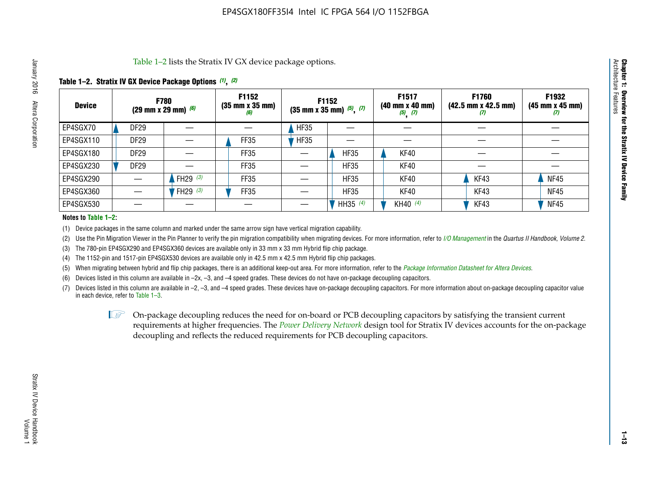Table 1–2 lists the Stratix IV GX device package options.

#### **Table 1–2. Stratix IV GX Device Package Options** *(1)***,** *(2)*

| <b>Device</b> |                  | <b>F780</b><br>(29 mm x 29 mm) $(6)$ | F1152<br>$(35 \, \text{mm} \times 35 \, \text{mm})$<br>(6) |             | <b>F1152</b><br>$(35 \text{ mm} \times 35 \text{ mm})$ $(5)$ , $(7)$ | F1517<br>(40 mm x 40 mm)<br>$(5)$ $(7)$ | <b>F1760</b><br>$(42.5 \text{ mm} \times 42.5 \text{ mm})$<br>M | F1932<br>(45 mm x 45 mm)<br>(7) |
|---------------|------------------|--------------------------------------|------------------------------------------------------------|-------------|----------------------------------------------------------------------|-----------------------------------------|-----------------------------------------------------------------|---------------------------------|
| EP4SGX70      | <b>DF29</b>      |                                      |                                                            | <b>HF35</b> |                                                                      |                                         |                                                                 |                                 |
| EP4SGX110     | DF <sub>29</sub> |                                      | FF35                                                       | <b>HF35</b> |                                                                      |                                         |                                                                 |                                 |
| EP4SGX180     | DF29             |                                      | FF35                                                       |             | <b>HF35</b>                                                          | KF40                                    |                                                                 |                                 |
| EP4SGX230     | DF <sub>29</sub> |                                      | FF35                                                       |             | <b>HF35</b>                                                          | KF40                                    |                                                                 |                                 |
| EP4SGX290     |                  | FH29 $(3)$                           | FF35                                                       |             | <b>HF35</b>                                                          | KF40                                    | KF43                                                            | <b>NF45</b>                     |
| EP4SGX360     |                  | FH29 $(3)$                           | FF35                                                       |             | <b>HF35</b>                                                          | KF40                                    | KF43                                                            | <b>NF45</b>                     |
| EP4SGX530     |                  |                                      |                                                            |             | HH35 (4)                                                             | KH40 (4)                                | KF43                                                            | <b>NF45</b>                     |

#### **Notes to Table 1–2:**

(1) Device packages in the same column and marked under the same arrow sign have vertical migration capability.

(2) Use the Pin Migration Viewer in the Pin Planner to verify the pin migration compatibility when migrating devices. For more information, refer to *[I/O Management](http://www.altera.com/literature/hb/qts/qts_qii52013.pdf)* in the *Quartus II Handbook, Volume 2*.

(3) The 780-pin EP4SGX290 and EP4SGX360 devices are available only in 33 mm x 33 mm Hybrid flip chip package.

(4) The 1152-pin and 1517-pin EP4SGX530 devices are available only in 42.5 mm x 42.5 mm Hybrid flip chip packages.

(5) When migrating between hybrid and flip chip packages, there is an additional keep-out area. For more information, refer to the *[Package Information Datasheet for Altera Devices](http://www.altera.com/literature/ds/dspkg.pdf)*.

(6) Devices listed in this column are available in –2x, –3, and –4 speed grades. These devices do not have on-package decoupling capacitors.

(7) Devices listed in this column are available in –2, –3, and –4 speed grades. These devices have on-package decoupling capacitors. For more information about on-package decoupling capacitor value in each device, refer to Table 1–3.

 $\mathbb{L}$ s On-package decoupling reduces the need for on-board or PCB decoupling capacitors by satisfying the transient current requirements at higher frequencies. The *[Power Delivery Network](http://www.altera.com/literature/ug/pdn_tool_stxiv.zip)* design tool for Stratix IV devices accounts for the on-package decoupling and reflects the reduced requirements for PCB decoupling capacitors.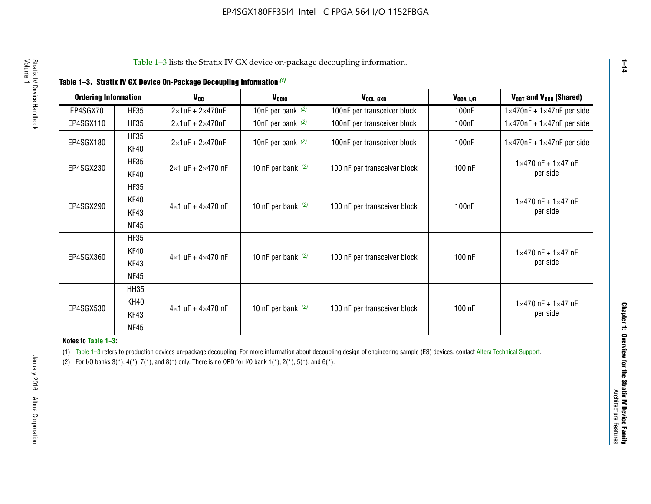|  |  | Table 1-3. Stratix IV GX Device On-Package Decoupling Information (1) |  |  |
|--|--|-----------------------------------------------------------------------|--|--|
|--|--|-----------------------------------------------------------------------|--|--|

| <b>Ordering Information</b> |                     | <b>V<sub>cc</sub></b>               | V <sub>ccio</sub>    | V <sub>CCL GXB</sub>         | V <sub>CCA_L/R</sub> | V <sub>CCT</sub> and V <sub>CCR</sub> (Shared)   |
|-----------------------------|---------------------|-------------------------------------|----------------------|------------------------------|----------------------|--------------------------------------------------|
| EP4SGX70                    | <b>HF35</b>         | $2\times1$ uF + $2\times470$ nF     | 10nF per bank $(2)$  | 100nF per transceiver block  | 100 <sub>n</sub> F   | $1 \times 470$ nF + $1 \times 47$ nF per side    |
| EP4SGX110                   | <b>HF35</b>         | $2\times1$ uF + $2\times470$ nF     | 10nF per bank $(2)$  | 100nF per transceiver block  | 100 <sub>n</sub> F   | $1\times470$ nF + $1\times47$ nF per side        |
| EP4SGX180                   | <b>HF35</b><br>KF40 | $2\times1$ uF + $2\times470$ nF     | 10nF per bank $(2)$  | 100nF per transceiver block  | 100 <sub>n</sub> F   | $1 \times 470$ nF + $1 \times 47$ nF per side    |
| EP4SGX230                   | <b>HF35</b><br>KF40 | $2 \times 1$ uF + $2 \times 470$ nF | 10 nF per bank $(2)$ | 100 nF per transceiver block | 100 nF               | $1 \times 470$ nF + $1 \times 47$ nF<br>per side |
|                             | <b>HF35</b><br>KF40 |                                     |                      |                              |                      | $1 \times 470$ nF + $1 \times 47$ nF             |
| EP4SGX290                   | KF43<br><b>NF45</b> | $4 \times 1$ uF + $4 \times 470$ nF | 10 nF per bank $(2)$ | 100 nF per transceiver block | 100nF                | per side                                         |
|                             | <b>HF35</b><br>KF40 |                                     |                      |                              |                      | $1 \times 470$ nF + $1 \times 47$ nF             |
| EP4SGX360                   | KF43<br><b>NF45</b> | $4 \times 1$ uF + $4 \times 470$ nF | 10 nF per bank $(2)$ | 100 nF per transceiver block | 100 nF               | per side                                         |
|                             | <b>HH35</b>         |                                     |                      |                              |                      |                                                  |
| EP4SGX530                   | <b>KH40</b><br>KF43 | $4 \times 1$ uF + $4 \times 470$ nF | 10 nF per bank $(2)$ | 100 nF per transceiver block | 100 nF               | $1 \times 470$ nF + $1 \times 47$ nF<br>per side |
|                             | <b>NF45</b>         |                                     |                      |                              |                      |                                                  |

**Notes to Table 1–3:**

(1) Table 1-3 refers to production devices on-package decoupling. For more information about decoupling design of engineering sample (ES) devices, contact [Altera Technical Support](http://mysupport.altera.com/eservice/login.asp).

(2) For I/O banks  $3(*)$ ,  $4(*)$ ,  $7(*)$ , and  $8(*)$  only. There is no OPD for I/O bank  $1(*)$ ,  $2(*)$ ,  $5(*)$ , and  $6(*)$ .

**1–14**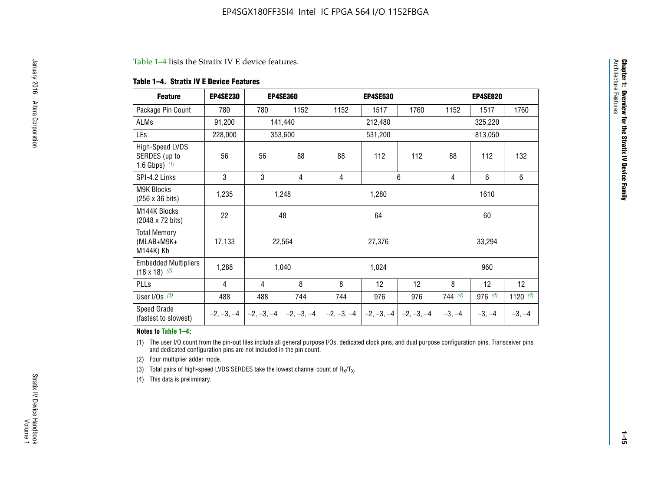#### Table 1–4 lists the Stratix IV E device features.

#### **Table 1–4. Stratix IV E Device Features**

| <b>Feature</b>                                      | <b>EP4SE230</b> |     | <b>EP4SE360</b>           |              | <b>EP4SE530</b> |              |          | <b>EP4SE820</b> |            |  |
|-----------------------------------------------------|-----------------|-----|---------------------------|--------------|-----------------|--------------|----------|-----------------|------------|--|
| Package Pin Count                                   | 780             | 780 | 1152                      | 1152         | 1517            | 1760         | 1152     | 1517            | 1760       |  |
| <b>ALMs</b>                                         | 91,200          |     | 141,440                   |              | 212,480         |              |          | 325,220         |            |  |
| <b>LEs</b>                                          | 228,000         |     | 353,600                   |              | 531,200         |              |          | 813,050         |            |  |
| High-Speed LVDS<br>SERDES (up to<br>1.6 Gbps) $(1)$ | 56              | 56  | 88                        | 88           | 112             | 112          | 88       | 112             | 132        |  |
| SPI-4.2 Links                                       | 3               | 3   | 4                         | 4            |                 | 6            | 4        | 6               | 6          |  |
| <b>M9K Blocks</b><br>(256 x 36 bits)                | 1,235           |     | 1,248                     |              | 1,280           |              |          | 1610            |            |  |
| M144K Blocks<br>(2048 x 72 bits)                    | 22              |     | 48                        |              | 64              |              |          | 60              |            |  |
| <b>Total Memory</b><br>$(MLAB+M9K+$<br>M144K) Kb    | 17,133          |     | 22,564                    |              | 27,376          |              |          | 33,294          |            |  |
| <b>Embedded Multipliers</b><br>$(18 \times 18)$ (2) | 1,288           |     | 1,040                     |              | 1,024           |              |          | 960             |            |  |
| PLLs                                                | 4               | 4   | 8                         | 8            | 12              | 12           | 8        | 12              | 12         |  |
| User I/Os $(3)$                                     | 488             | 488 | 744                       | 744          | 976             | 976          | 744(4)   | 976(4)          | 1120 $(4)$ |  |
| Speed Grade<br>(fastest to slowest)                 | $-2, -3, -4$    |     | $-2, -3, -4$ $-2, -3, -4$ | $-2, -3, -4$ | $-2, -3, -4$    | $-2, -3, -4$ | $-3, -4$ | $-3, -4$        | $-3, -4$   |  |

#### **Notes to Table 1–4:**

(1) The user I/O count from the pin-out files include all general purpose I/Os, dedicated clock pins, and dual purpose configuration pins. Transceiver pins and dedicated configuration pins are not included in the pin count.

(2) Four multiplier adder mode.

(3) Total pairs of high-speed LVDS SERDES take the lowest channel count of  $R_X/T_X$ .

(4) This data is preliminary.

**Chapter 1: Overview for the Stratix IV Device Family**

**Chapter 1: Overview for the Stratix IV Device Family**<br>Architecture Faatures

Architecture Features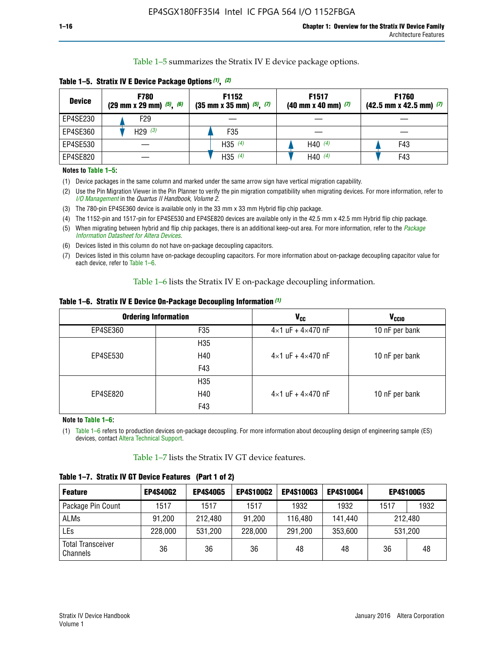Table 1–5 summarizes the Stratix IV E device package options.

| <b>Device</b> | <b>F780</b><br>$(29 \text{ mm} \times 29 \text{ mm})$ $(5)$ , $(6)$ | F1152<br>$(35 \text{ mm} \times 35 \text{ mm})$ $(5)$ , $(7)$ | F <sub>1517</sub><br>$(40 \text{ mm} \times 40 \text{ mm})$ (7) | <b>F1760</b><br>$(42.5$ mm x 42.5 mm) $(7)$ |
|---------------|---------------------------------------------------------------------|---------------------------------------------------------------|-----------------------------------------------------------------|---------------------------------------------|
| EP4SE230      | F29                                                                 |                                                               |                                                                 |                                             |
| EP4SE360      | H <sub>29</sub> $(3)$                                               | F35                                                           |                                                                 |                                             |
| EP4SE530      |                                                                     | H35 $(4)$                                                     | H40 $(4)$                                                       | F43                                         |
| EP4SE820      |                                                                     | H35 $(4)$                                                     | H40 $(4)$                                                       | F43                                         |

**Table 1–5. Stratix IV E Device Package Options** *(1)***,** *(2)*

#### **Notes to Table 1–5:**

(1) Device packages in the same column and marked under the same arrow sign have vertical migration capability.

(2) Use the Pin Migration Viewer in the Pin Planner to verify the pin migration compatibility when migrating devices. For more information, refer to *[I/O Management](http://www.altera.com/literature/hb/qts/qts_qii52013.pdf)* in the *Quartus II Handbook, Volume 2*.

(3) The 780-pin EP4SE360 device is available only in the 33 mm x 33 mm Hybrid flip chip package.

(4) The 1152-pin and 1517-pin for EP4SE530 and EP4SE820 devices are available only in the 42.5 mm x 42.5 mm Hybrid flip chip package.

(5) When migrating between hybrid and flip chip packages, there is an additional keep-out area. For more information, refer to the *[Package](http://www.altera.com/literature/ds/dspkg.pdf)  [Information Datasheet for Altera Devices](http://www.altera.com/literature/ds/dspkg.pdf)*.

(6) Devices listed in this column do not have on-package decoupling capacitors.

(7) Devices listed in this column have on-package decoupling capacitors. For more information about on-package decoupling capacitor value for each device, refer to Table 1–6.

Table 1–6 lists the Stratix IV E on-package decoupling information.

| Table 1–6. Stratix IV E Device On-Package Decoupling Information (1) |  |  |  |  |  |
|----------------------------------------------------------------------|--|--|--|--|--|
|----------------------------------------------------------------------|--|--|--|--|--|

|          | <b>Ordering Information</b> | V <sub>cc</sub>                     | <b>V<sub>CCIO</sub></b> |
|----------|-----------------------------|-------------------------------------|-------------------------|
| EP4SE360 | F <sub>35</sub>             | $4 \times 1$ uF + $4 \times 470$ nF | 10 nF per bank          |
|          | H35                         |                                     |                         |
| EP4SE530 | H40                         | $4\times1$ uF + $4\times470$ nF     | 10 nF per bank          |
|          | F43                         |                                     |                         |
|          | H35                         |                                     |                         |
| EP4SE820 | H40                         | $4\times1$ uF + $4\times470$ nF     | 10 nF per bank          |
|          | F43                         |                                     |                         |

**Note to Table 1–6:**

(1) Table 1–6 refers to production devices on-package decoupling. For more information about decoupling design of engineering sample (ES) devices, contact [Altera Technical Support](http://mysupport.altera.com/eservice/login.asp).

Table 1–7 lists the Stratix IV GT device features.

| <b>Feature</b>                       | <b>EP4S40G2</b> | <b>EP4S40G5</b> | <b>EP4S100G2</b> | <b>EP4S100G3</b> | <b>EP4S100G4</b> | <b>EP4S100G5</b> |         |
|--------------------------------------|-----------------|-----------------|------------------|------------------|------------------|------------------|---------|
| Package Pin Count                    | 1517            | 1517            | 1517             | 1932             | 1932             | 1517             | 1932    |
| <b>ALMs</b>                          | 91,200          | 212,480         | 91,200           | 116,480          | 141,440          |                  | 212.480 |
| LEs                                  | 228,000         | 531,200         | 228,000          | 291,200          | 353,600          |                  | 531,200 |
| <b>Total Transceiver</b><br>Channels | 36              | 36              | 36               | 48               | 48               | 36               | 48      |

**Table 1–7. Stratix IV GT Device Features (Part 1 of 2)**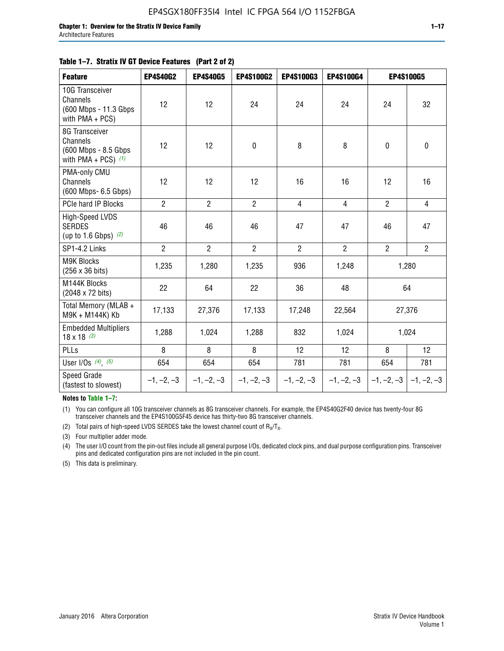#### **Table 1–7. Stratix IV GT Device Features (Part 2 of 2)**

| <b>Feature</b>                                                              | <b>EP4S40G2</b> | <b>EP4S40G5</b> | <b>EP4S100G2</b> | <b>EP4S100G3</b> | <b>EP4S100G4</b> | <b>EP4S100G5</b> |                           |
|-----------------------------------------------------------------------------|-----------------|-----------------|------------------|------------------|------------------|------------------|---------------------------|
| 10G Transceiver<br>Channels<br>(600 Mbps - 11.3 Gbps<br>with PMA + PCS)     | 12              | 12              | 24               | 24               | 24               | 24               | 32                        |
| 8G Transceiver<br>Channels<br>(600 Mbps - 8.5 Gbps<br>with PMA + PCS) $(1)$ | 12              | 12              | $\pmb{0}$        | 8                | 8                | $\mathbf 0$      | 0                         |
| PMA-only CMU<br>Channels<br>(600 Mbps- 6.5 Gbps)                            | 12              | 12              | 12               | 16               | 16               | 12               | 16                        |
| PCIe hard IP Blocks                                                         | $\overline{2}$  | $\overline{2}$  | $\overline{2}$   | $\overline{4}$   | $\overline{4}$   | $\overline{2}$   | $\overline{4}$            |
| <b>High-Speed LVDS</b><br><b>SERDES</b><br>(up to 1.6 Gbps) $(2)$           | 46              | 46              | 46               | 47               | 47               | 46               | 47                        |
| SP1-4.2 Links                                                               | $\overline{2}$  | $\overline{2}$  | $\overline{2}$   | $\overline{2}$   | $\overline{2}$   | $\overline{2}$   | $\overline{2}$            |
| <b>M9K Blocks</b><br>(256 x 36 bits)                                        | 1,235           | 1,280           | 1,235            | 936              | 1,248            |                  | 1,280                     |
| M144K Blocks<br>(2048 x 72 bits)                                            | 22              | 64              | 22               | 36               | 48               |                  | 64                        |
| Total Memory (MLAB +<br>M9K + M144K) Kb                                     | 17,133          | 27,376          | 17,133           | 17,248           | 22,564           |                  | 27,376                    |
| <b>Embedded Multipliers</b><br>$18 \times 18^{(3)}$                         | 1,288           | 1,024           | 1,288            | 832              | 1,024            |                  | 1,024                     |
| PLLs                                                                        | 8               | 8               | 8                | 12               | 12               | 8                | 12                        |
| User I/Os $(4)$ , $(5)$                                                     | 654             | 654             | 654              | 781              | 781              | 654              | 781                       |
| Speed Grade<br>(fastest to slowest)                                         | $-1, -2, -3$    | $-1, -2, -3$    | $-1, -2, -3$     | $-1, -2, -3$     | $-1, -2, -3$     |                  | $-1, -2, -3$ $-1, -2, -3$ |

**Notes to Table 1–7:**

(1) You can configure all 10G transceiver channels as 8G transceiver channels. For example, the EP4S40G2F40 device has twenty-four 8G transceiver channels and the EP4S100G5F45 device has thirty-two 8G transceiver channels.

(2) Total pairs of high-speed LVDS SERDES take the lowest channel count of  $R_X/T_X$ .

(3) Four multiplier adder mode.

(4) The user I/O count from the pin-out files include all general purpose I/Os, dedicated clock pins, and dual purpose configuration pins. Transceiver pins and dedicated configuration pins are not included in the pin count.

(5) This data is preliminary.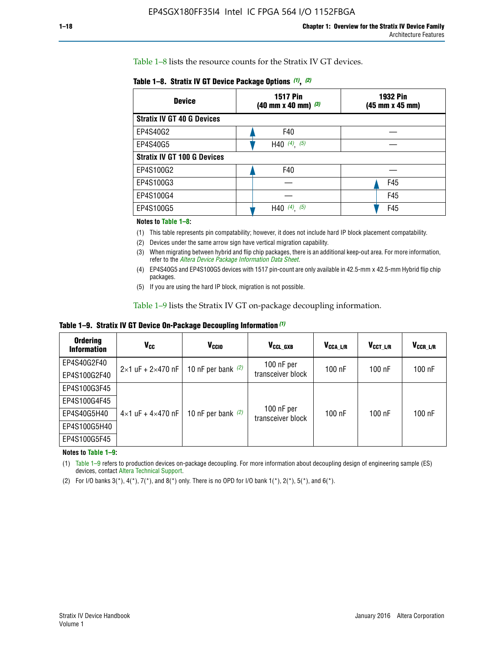Table 1–8 lists the resource counts for the Stratix IV GT devices.

| <b>Device</b>                      | <b>1517 Pin</b><br>$(40 \text{ mm} \times 40 \text{ mm})$ (3) | <b>1932 Pin</b><br>(45 mm x 45 mm) |  |  |
|------------------------------------|---------------------------------------------------------------|------------------------------------|--|--|
| <b>Stratix IV GT 40 G Devices</b>  |                                                               |                                    |  |  |
| EP4S40G2                           | F40                                                           |                                    |  |  |
| EP4S40G5                           | H40 $(4)$ , $(5)$                                             |                                    |  |  |
| <b>Stratix IV GT 100 G Devices</b> |                                                               |                                    |  |  |
| EP4S100G2                          | F40                                                           |                                    |  |  |
| EP4S100G3                          |                                                               | F45                                |  |  |
| EP4S100G4                          |                                                               | F45                                |  |  |
| EP4S100G5                          | H40 $(4)$ , $(5)$                                             | F45                                |  |  |

#### **Notes to Table 1–8:**

(1) This table represents pin compatability; however, it does not include hard IP block placement compatability.

- (2) Devices under the same arrow sign have vertical migration capability.
- (3) When migrating between hybrid and flip chip packages, there is an additional keep-out area. For more information, refer to the *[Altera Device Package Information Data Sheet](http://www.altera.com/literature/ds/dspkg.pdf)*.
- (4) EP4S40G5 and EP4S100G5 devices with 1517 pin-count are only available in 42.5-mm x 42.5-mm Hybrid flip chip packages.
- (5) If you are using the hard IP block, migration is not possible.

Table 1–9 lists the Stratix IV GT on-package decoupling information.

**Table 1–9. Stratix IV GT Device On-Package Decoupling Information** *(1)*

| <b>Ordering</b><br><b>Information</b> | Vcc                                 | <b>V<sub>CCIO</sub></b> | V <sub>CCL GXB</sub>            | V <sub>CCA L/R</sub> | V <sub>CCT L/R</sub> | V <sub>CCR_L/R</sub> |
|---------------------------------------|-------------------------------------|-------------------------|---------------------------------|----------------------|----------------------|----------------------|
| EP4S40G2F40                           | $2 \times 1$ uF + $2 \times 470$ nF | 10 nF per bank $(2)$    | 100 nF per<br>transceiver block | $100$ nF             | $100$ nF             | 100 nF               |
| EP4S100G2F40                          |                                     |                         |                                 |                      |                      |                      |
| EP4S100G3F45                          | $4\times1$ uF + $4\times470$ nF     | 10 nF per bank $(2)$    | 100 nF per<br>transceiver block | $100$ nF             | $100$ nF             | $100$ nF             |
| EP4S100G4F45                          |                                     |                         |                                 |                      |                      |                      |
| EP4S40G5H40                           |                                     |                         |                                 |                      |                      |                      |
| EP4S100G5H40                          |                                     |                         |                                 |                      |                      |                      |
| EP4S100G5F45                          |                                     |                         |                                 |                      |                      |                      |

**Notes to Table 1–9:**

(1) Table 1–9 refers to production devices on-package decoupling. For more information about decoupling design of engineering sample (ES) devices, contact [Altera Technical Support](http://mysupport.altera.com/eservice/login.asp).

(2) For I/O banks  $3(*)$ ,  $4(*)$ ,  $7(*)$ , and  $8(*)$  only. There is no OPD for I/O bank  $1(*)$ ,  $2(*)$ ,  $5(*)$ , and  $6(*)$ .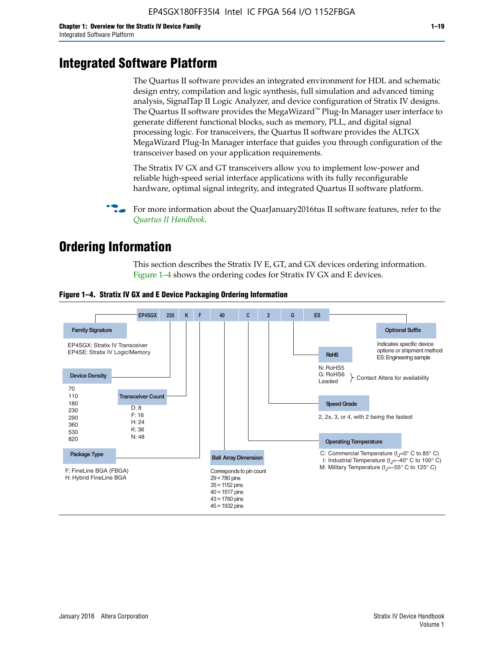# **Integrated Software Platform**

The Quartus II software provides an integrated environment for HDL and schematic design entry, compilation and logic synthesis, full simulation and advanced timing analysis, SignalTap II Logic Analyzer, and device configuration of Stratix IV designs. The Quartus II software provides the MegaWizard<sup> $M$ </sup> Plug-In Manager user interface to generate different functional blocks, such as memory, PLL, and digital signal processing logic. For transceivers, the Quartus II software provides the ALTGX MegaWizard Plug-In Manager interface that guides you through configuration of the transceiver based on your application requirements.

The Stratix IV GX and GT transceivers allow you to implement low-power and reliable high-speed serial interface applications with its fully reconfigurable hardware, optimal signal integrity, and integrated Quartus II software platform.

For more information about the QuarJanuary2016tus II software features, refer to the *[Quartus II Handbook](http://www.altera.com/literature/lit-qts.jsp)*.

# **Ordering Information**

This section describes the Stratix IV E, GT, and GX devices ordering information. Figure 1–4 shows the ordering codes for Stratix IV GX and E devices.



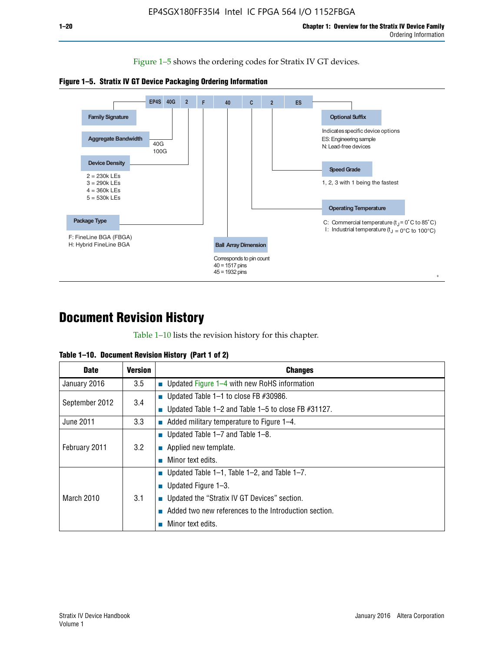Figure 1–5 shows the ordering codes for Stratix IV GT devices.





# **Document Revision History**

Table 1–10 lists the revision history for this chapter.

| <b>Date</b>       | Version | <b>Changes</b>                                         |
|-------------------|---------|--------------------------------------------------------|
| January 2016      | 3.5     | <b>Updated Figure 1–4 with new RoHS information</b>    |
| September 2012    | 3.4     | ■ Updated Table 1–1 to close FB $#30986$ .             |
|                   |         | Updated Table 1–2 and Table 1–5 to close FB $#31127$ . |
| June 2011         | 3.3     | Added military temperature to Figure 1–4.              |
| February 2011     | 3.2     | ■ Updated Table 1–7 and Table 1–8.                     |
|                   |         | $\blacksquare$ Applied new template.                   |
|                   |         | Minor text edits.                                      |
| <b>March 2010</b> | 3.1     | <b>Updated Table 1–1, Table 1–2, and Table 1–7.</b>    |
|                   |         | ■ Updated Figure $1-3$ .                               |
|                   |         | ■ Updated the "Stratix IV GT Devices" section.         |
|                   |         | Added two new references to the Introduction section.  |
|                   |         | Minor text edits.                                      |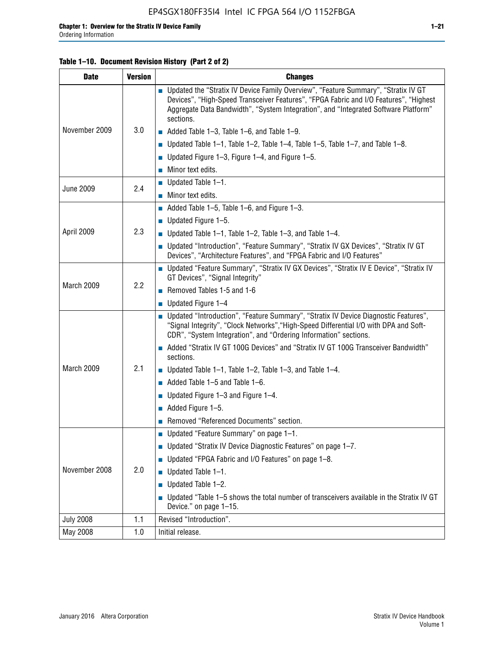#### **Table 1–10. Document Revision History (Part 2 of 2)**

| <b>Date</b>      | <b>Version</b> | <b>Changes</b>                                                                                                                                                                                                                                                                    |  |
|------------------|----------------|-----------------------------------------------------------------------------------------------------------------------------------------------------------------------------------------------------------------------------------------------------------------------------------|--|
| November 2009    | 3.0            | ■ Updated the "Stratix IV Device Family Overview", "Feature Summary", "Stratix IV GT<br>Devices", "High-Speed Transceiver Features", "FPGA Fabric and I/O Features", "Highest<br>Aggregate Data Bandwidth", "System Integration", and "Integrated Software Platform"<br>sections. |  |
|                  |                | $\blacksquare$ Added Table 1-3, Table 1-6, and Table 1-9.                                                                                                                                                                                                                         |  |
|                  |                | $\blacksquare$ Updated Table 1-1, Table 1-2, Table 1-4, Table 1-5, Table 1-7, and Table 1-8.                                                                                                                                                                                      |  |
|                  |                | ■ Updated Figure 1–3, Figure 1–4, and Figure 1–5.                                                                                                                                                                                                                                 |  |
|                  |                | $\blacksquare$ Minor text edits.                                                                                                                                                                                                                                                  |  |
|                  | 2.4            | $\blacksquare$ Updated Table 1-1.                                                                                                                                                                                                                                                 |  |
| <b>June 2009</b> |                | Minor text edits.                                                                                                                                                                                                                                                                 |  |
|                  |                | $\blacksquare$ Added Table 1–5, Table 1–6, and Figure 1–3.                                                                                                                                                                                                                        |  |
|                  |                | $\blacksquare$ Updated Figure 1-5.                                                                                                                                                                                                                                                |  |
| April 2009       | 2.3            | Updated Table $1-1$ , Table $1-2$ , Table $1-3$ , and Table $1-4$ .                                                                                                                                                                                                               |  |
|                  |                | ■ Updated "Introduction", "Feature Summary", "Stratix IV GX Devices", "Stratix IV GT<br>Devices", "Architecture Features", and "FPGA Fabric and I/O Features"                                                                                                                     |  |
| March 2009       | 2.2            | ■ Updated "Feature Summary", "Stratix IV GX Devices", "Stratix IV E Device", "Stratix IV<br>GT Devices", "Signal Integrity"                                                                                                                                                       |  |
|                  |                | Removed Tables 1-5 and 1-6                                                                                                                                                                                                                                                        |  |
|                  |                | Updated Figure 1-4                                                                                                                                                                                                                                                                |  |
|                  |                | ■ Updated "Introduction", "Feature Summary", "Stratix IV Device Diagnostic Features",<br>"Signal Integrity", "Clock Networks", "High-Speed Differential I/O with DPA and Soft-<br>CDR", "System Integration", and "Ordering Information" sections.                                |  |
|                  |                | Added "Stratix IV GT 100G Devices" and "Stratix IV GT 100G Transceiver Bandwidth"<br>sections.                                                                                                                                                                                    |  |
| March 2009       | 2.1            | <b>Updated Table 1–1, Table 1–2, Table 1–3, and Table 1–4.</b>                                                                                                                                                                                                                    |  |
|                  |                | $\blacksquare$ Added Table 1-5 and Table 1-6.                                                                                                                                                                                                                                     |  |
|                  |                | ■ Updated Figure $1-3$ and Figure $1-4$ .                                                                                                                                                                                                                                         |  |
|                  |                | $\blacksquare$ Added Figure 1-5.                                                                                                                                                                                                                                                  |  |
|                  |                | Removed "Referenced Documents" section.                                                                                                                                                                                                                                           |  |
|                  |                | Updated "Feature Summary" on page 1-1.                                                                                                                                                                                                                                            |  |
| November 2008    | 2.0            | ■ Updated "Stratix IV Device Diagnostic Features" on page 1-7.                                                                                                                                                                                                                    |  |
|                  |                | Updated "FPGA Fabric and I/O Features" on page 1-8.                                                                                                                                                                                                                               |  |
|                  |                | $\blacksquare$ Updated Table 1-1.                                                                                                                                                                                                                                                 |  |
|                  |                | Updated Table 1-2.                                                                                                                                                                                                                                                                |  |
|                  |                | Updated "Table 1-5 shows the total number of transceivers available in the Stratix IV GT<br>Device." on page 1-15.                                                                                                                                                                |  |
| <b>July 2008</b> | 1.1            | Revised "Introduction".                                                                                                                                                                                                                                                           |  |
| May 2008         | 1.0            | Initial release.                                                                                                                                                                                                                                                                  |  |